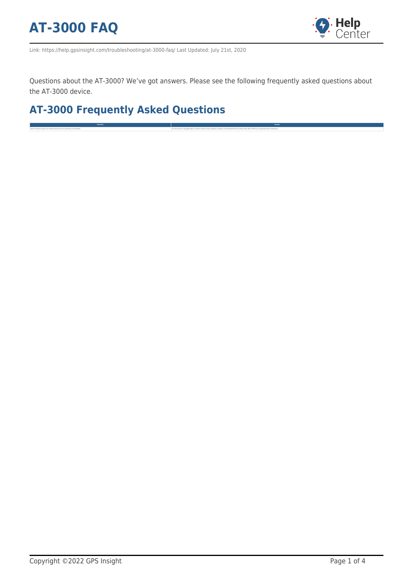

Link: https://help.gpsinsight.com/troubleshooting/at-3000-faq/ Last Updated: July 21st, 2020

Questions about the AT-3000? We've got answers. Please see the following frequently asked questions about the AT-3000 device.

**Question Answer**

## **AT-3000 Frequently Asked Questions**

Does the device require an external arbenna to be connected and installed? Notice to recommend a more to the device is equipped with an internal antenna that is powerful enough to receive/send GPS and cellular data within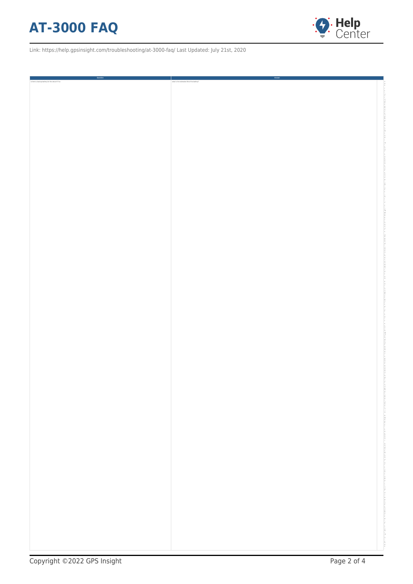## **AT-3000 FAQ**



Link: https://help.gpsinsight.com/troubleshooting/at-3000-faq/ Last Updated: July 21st, 2020

| Question<br>L                                   | Answer                                     |
|-------------------------------------------------|--------------------------------------------|
| Is there a backup battery for the device? If so | what is the estimated life of the battery? |
|                                                 |                                            |
|                                                 |                                            |
|                                                 |                                            |
|                                                 |                                            |
|                                                 |                                            |
|                                                 |                                            |
|                                                 |                                            |
|                                                 |                                            |
|                                                 |                                            |
|                                                 |                                            |
|                                                 |                                            |
|                                                 |                                            |
|                                                 |                                            |
|                                                 |                                            |
|                                                 |                                            |
|                                                 |                                            |
|                                                 |                                            |
|                                                 |                                            |
|                                                 |                                            |
|                                                 |                                            |
|                                                 |                                            |
|                                                 |                                            |
|                                                 |                                            |
|                                                 |                                            |
|                                                 |                                            |
|                                                 |                                            |
|                                                 |                                            |
|                                                 |                                            |
|                                                 |                                            |
|                                                 |                                            |
|                                                 |                                            |
|                                                 |                                            |
|                                                 |                                            |
|                                                 |                                            |
|                                                 |                                            |
|                                                 |                                            |
|                                                 |                                            |
|                                                 |                                            |
|                                                 |                                            |
|                                                 |                                            |
|                                                 |                                            |
|                                                 |                                            |
|                                                 |                                            |
|                                                 |                                            |
|                                                 |                                            |
|                                                 |                                            |
|                                                 |                                            |
|                                                 |                                            |
|                                                 |                                            |
|                                                 |                                            |
|                                                 |                                            |
|                                                 |                                            |
|                                                 |                                            |
|                                                 |                                            |
|                                                 |                                            |
|                                                 |                                            |
|                                                 |                                            |
|                                                 |                                            |
|                                                 |                                            |
|                                                 |                                            |
|                                                 |                                            |
|                                                 |                                            |
|                                                 |                                            |
|                                                 |                                            |
|                                                 |                                            |
|                                                 |                                            |
|                                                 |                                            |
|                                                 |                                            |
|                                                 |                                            |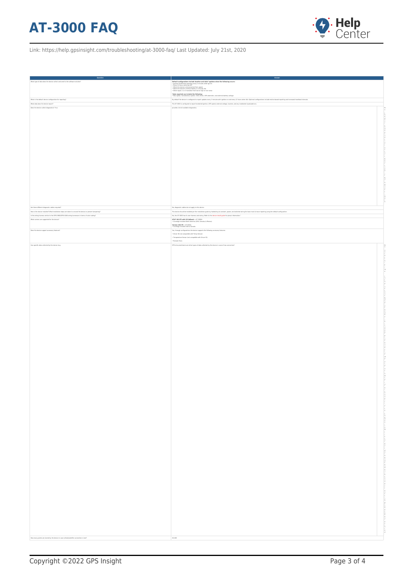## **AT-3000 FAQ**



Link: https://help.gpsinsight.com/troubleshooting/at-3000-faq/ Last Updated: July 21st, 2020

| <b>Question</b><br>٠<br>What type of data does the device collect and send to the software solution?                                                          |                                                                                                                                                                                                                                                                                                                                                                                                                                  |
|---------------------------------------------------------------------------------------------------------------------------------------------------------------|----------------------------------------------------------------------------------------------------------------------------------------------------------------------------------------------------------------------------------------------------------------------------------------------------------------------------------------------------------------------------------------------------------------------------------|
|                                                                                                                                                               | $\begin{tabular}{ p{0.8cm} } \hline \textbf{Def} and \textbf{Gr} \textbf{con} \textbf{C} \textbf{S} \textbf{S} \textbf{S} \textbf{S} \textbf{S} \textbf{S} \textbf{S} \textbf{S} \textbf{S} \textbf{S} \textbf{S} \textbf{S} \textbf{S} \textbf{S} \textbf{S} \textbf{S} \textbf{S} \textbf{S} \textbf{S} \textbf{S} \textbf{S} \textbf{S} \textbf{S} \textbf{S} \textbf{S} \textbf{S} \textbf{S} \textbf{S} \textbf{S} \textbf$ |
|                                                                                                                                                               |                                                                                                                                                                                                                                                                                                                                                                                                                                  |
|                                                                                                                                                               | *data reported can include the following:<br>• Max speed, instantaneous speed, miles driven, GPS odometer, and external battery voltage                                                                                                                                                                                                                                                                                          |
| What is the default device configuration for reporting?<br>What data does the device report?                                                                  | By default the device is configured to report updates every 2 minutes with ignition on and every 12 hours when idle. Optional configurations include motion-based reporting and increased heartbeat intervals.<br>The AT-3000 is configured to report hardwired ignition, GPS speed, external voltage, location, and any hardwired inputs/add-ons.                                                                               |
| Does the device collect diagnostics? If so                                                                                                                    | provide a list of available diagnostics.                                                                                                                                                                                                                                                                                                                                                                                         |
|                                                                                                                                                               |                                                                                                                                                                                                                                                                                                                                                                                                                                  |
|                                                                                                                                                               |                                                                                                                                                                                                                                                                                                                                                                                                                                  |
|                                                                                                                                                               |                                                                                                                                                                                                                                                                                                                                                                                                                                  |
|                                                                                                                                                               |                                                                                                                                                                                                                                                                                                                                                                                                                                  |
|                                                                                                                                                               |                                                                                                                                                                                                                                                                                                                                                                                                                                  |
|                                                                                                                                                               |                                                                                                                                                                                                                                                                                                                                                                                                                                  |
|                                                                                                                                                               |                                                                                                                                                                                                                                                                                                                                                                                                                                  |
|                                                                                                                                                               |                                                                                                                                                                                                                                                                                                                                                                                                                                  |
|                                                                                                                                                               |                                                                                                                                                                                                                                                                                                                                                                                                                                  |
|                                                                                                                                                               |                                                                                                                                                                                                                                                                                                                                                                                                                                  |
|                                                                                                                                                               |                                                                                                                                                                                                                                                                                                                                                                                                                                  |
|                                                                                                                                                               |                                                                                                                                                                                                                                                                                                                                                                                                                                  |
|                                                                                                                                                               |                                                                                                                                                                                                                                                                                                                                                                                                                                  |
|                                                                                                                                                               |                                                                                                                                                                                                                                                                                                                                                                                                                                  |
|                                                                                                                                                               |                                                                                                                                                                                                                                                                                                                                                                                                                                  |
|                                                                                                                                                               |                                                                                                                                                                                                                                                                                                                                                                                                                                  |
|                                                                                                                                                               |                                                                                                                                                                                                                                                                                                                                                                                                                                  |
|                                                                                                                                                               |                                                                                                                                                                                                                                                                                                                                                                                                                                  |
|                                                                                                                                                               |                                                                                                                                                                                                                                                                                                                                                                                                                                  |
| Are there different diagnostic cables required?<br>How is the device installed? What installation steps are taken to conceal the device or prevent tampering? | No, diagnostic cables do not apply to this device.<br>The device should be installed per the installation guide by hardwiring to constant, power, and switched wiring for basic track & trace reporting using the default configuration.                                                                                                                                                                                         |
| Is the wiring harness similar to the CPSI-3900(CPSI-4000 wiring harnesses in terms of color-coding?                                                           | No, the AT-3000 has its own harness and wiring. Refer to the device install guide for pinout information."                                                                                                                                                                                                                                                                                                                       |
| What carriers are supported for the device?                                                                                                                   | $\begin{array}{l} \textbf{AT67 4G/LTE with 3G fallback} = \textit{AT-3000A} \\ + \textbf{Coverage includes North American (USA, Canada, & Mexico)} \end{array}$                                                                                                                                                                                                                                                                  |
|                                                                                                                                                               | $\begin{array}{l} \textbf{Verizon 4G/LTE} = \textit{AT-30001} \\ \textbf{• Covrange includes USA 6 Canada} \end{array}$                                                                                                                                                                                                                                                                                                          |
| Does the device support accessory features?                                                                                                                   | Yes, through configurations the device supports the following accessory features:                                                                                                                                                                                                                                                                                                                                                |
|                                                                                                                                                               | . Driver ID (not compatible with Temp Sensor)<br>. Temperature Sensor (not compatible with Driver ID)                                                                                                                                                                                                                                                                                                                            |
|                                                                                                                                                               | · Remote Panic                                                                                                                                                                                                                                                                                                                                                                                                                   |
| Can specific data collected by the device (e.g.                                                                                                               | DTCs) be prioritized over other types of data collected by the device in case of low connection?                                                                                                                                                                                                                                                                                                                                 |
|                                                                                                                                                               |                                                                                                                                                                                                                                                                                                                                                                                                                                  |
|                                                                                                                                                               |                                                                                                                                                                                                                                                                                                                                                                                                                                  |
|                                                                                                                                                               |                                                                                                                                                                                                                                                                                                                                                                                                                                  |
|                                                                                                                                                               |                                                                                                                                                                                                                                                                                                                                                                                                                                  |
|                                                                                                                                                               |                                                                                                                                                                                                                                                                                                                                                                                                                                  |
|                                                                                                                                                               |                                                                                                                                                                                                                                                                                                                                                                                                                                  |
|                                                                                                                                                               |                                                                                                                                                                                                                                                                                                                                                                                                                                  |
|                                                                                                                                                               |                                                                                                                                                                                                                                                                                                                                                                                                                                  |
|                                                                                                                                                               |                                                                                                                                                                                                                                                                                                                                                                                                                                  |
|                                                                                                                                                               |                                                                                                                                                                                                                                                                                                                                                                                                                                  |
|                                                                                                                                                               |                                                                                                                                                                                                                                                                                                                                                                                                                                  |
|                                                                                                                                                               |                                                                                                                                                                                                                                                                                                                                                                                                                                  |
|                                                                                                                                                               |                                                                                                                                                                                                                                                                                                                                                                                                                                  |
|                                                                                                                                                               |                                                                                                                                                                                                                                                                                                                                                                                                                                  |
|                                                                                                                                                               |                                                                                                                                                                                                                                                                                                                                                                                                                                  |
|                                                                                                                                                               |                                                                                                                                                                                                                                                                                                                                                                                                                                  |
|                                                                                                                                                               |                                                                                                                                                                                                                                                                                                                                                                                                                                  |
|                                                                                                                                                               |                                                                                                                                                                                                                                                                                                                                                                                                                                  |
|                                                                                                                                                               |                                                                                                                                                                                                                                                                                                                                                                                                                                  |
|                                                                                                                                                               |                                                                                                                                                                                                                                                                                                                                                                                                                                  |
|                                                                                                                                                               |                                                                                                                                                                                                                                                                                                                                                                                                                                  |
|                                                                                                                                                               |                                                                                                                                                                                                                                                                                                                                                                                                                                  |
|                                                                                                                                                               |                                                                                                                                                                                                                                                                                                                                                                                                                                  |
|                                                                                                                                                               |                                                                                                                                                                                                                                                                                                                                                                                                                                  |
|                                                                                                                                                               |                                                                                                                                                                                                                                                                                                                                                                                                                                  |
|                                                                                                                                                               |                                                                                                                                                                                                                                                                                                                                                                                                                                  |
|                                                                                                                                                               |                                                                                                                                                                                                                                                                                                                                                                                                                                  |
|                                                                                                                                                               |                                                                                                                                                                                                                                                                                                                                                                                                                                  |
|                                                                                                                                                               |                                                                                                                                                                                                                                                                                                                                                                                                                                  |
|                                                                                                                                                               |                                                                                                                                                                                                                                                                                                                                                                                                                                  |
|                                                                                                                                                               |                                                                                                                                                                                                                                                                                                                                                                                                                                  |
|                                                                                                                                                               |                                                                                                                                                                                                                                                                                                                                                                                                                                  |
|                                                                                                                                                               |                                                                                                                                                                                                                                                                                                                                                                                                                                  |
|                                                                                                                                                               |                                                                                                                                                                                                                                                                                                                                                                                                                                  |
|                                                                                                                                                               |                                                                                                                                                                                                                                                                                                                                                                                                                                  |
|                                                                                                                                                               |                                                                                                                                                                                                                                                                                                                                                                                                                                  |
|                                                                                                                                                               |                                                                                                                                                                                                                                                                                                                                                                                                                                  |
|                                                                                                                                                               |                                                                                                                                                                                                                                                                                                                                                                                                                                  |
|                                                                                                                                                               |                                                                                                                                                                                                                                                                                                                                                                                                                                  |
|                                                                                                                                                               |                                                                                                                                                                                                                                                                                                                                                                                                                                  |
|                                                                                                                                                               |                                                                                                                                                                                                                                                                                                                                                                                                                                  |
|                                                                                                                                                               |                                                                                                                                                                                                                                                                                                                                                                                                                                  |
|                                                                                                                                                               |                                                                                                                                                                                                                                                                                                                                                                                                                                  |
|                                                                                                                                                               |                                                                                                                                                                                                                                                                                                                                                                                                                                  |
|                                                                                                                                                               |                                                                                                                                                                                                                                                                                                                                                                                                                                  |
|                                                                                                                                                               |                                                                                                                                                                                                                                                                                                                                                                                                                                  |
|                                                                                                                                                               |                                                                                                                                                                                                                                                                                                                                                                                                                                  |
|                                                                                                                                                               |                                                                                                                                                                                                                                                                                                                                                                                                                                  |
|                                                                                                                                                               |                                                                                                                                                                                                                                                                                                                                                                                                                                  |
|                                                                                                                                                               |                                                                                                                                                                                                                                                                                                                                                                                                                                  |
|                                                                                                                                                               |                                                                                                                                                                                                                                                                                                                                                                                                                                  |
|                                                                                                                                                               |                                                                                                                                                                                                                                                                                                                                                                                                                                  |
|                                                                                                                                                               |                                                                                                                                                                                                                                                                                                                                                                                                                                  |
|                                                                                                                                                               |                                                                                                                                                                                                                                                                                                                                                                                                                                  |
|                                                                                                                                                               |                                                                                                                                                                                                                                                                                                                                                                                                                                  |
|                                                                                                                                                               |                                                                                                                                                                                                                                                                                                                                                                                                                                  |
| How many points are stored by the device in case cellular/satellite connection is lost?                                                                       | 20,000                                                                                                                                                                                                                                                                                                                                                                                                                           |